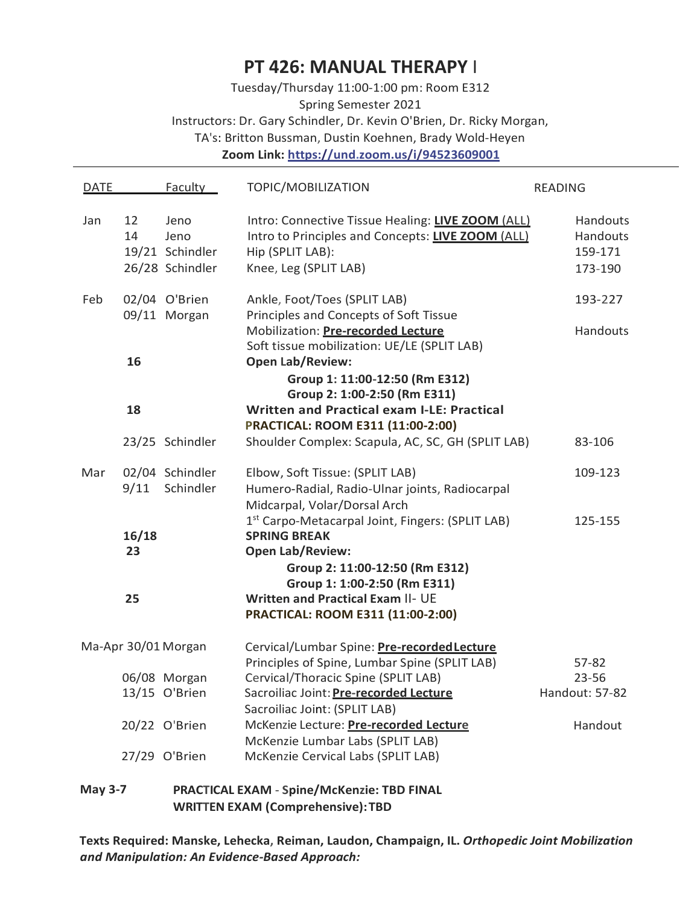# **PT 426: MANUAL THERAPY** I

Tuesday/Thursday 11:00-1:00 pm: Room E312 Spring Semester 2021 Instructors: Dr. Gary Schindler, Dr. Kevin O'Brien, Dr. Ricky Morgan, TA's: Britton Bussman, Dustin Koehnen, Brady Wold-Heyen **Zoom Link: https://und.zoom.us/i/94523609001**

| <b>DATE</b>                                                  |                                          | <b>Faculty</b>                                     | TOPIC/MOBILIZATION                                                                                                                                  | <b>READING</b>                             |  |  |
|--------------------------------------------------------------|------------------------------------------|----------------------------------------------------|-----------------------------------------------------------------------------------------------------------------------------------------------------|--------------------------------------------|--|--|
| Jan                                                          | 12<br>14                                 | Jeno<br>Jeno<br>19/21 Schindler<br>26/28 Schindler | Intro: Connective Tissue Healing: LIVE ZOOM (ALL)<br>Intro to Principles and Concepts: LIVE ZOOM (ALL)<br>Hip (SPLIT LAB):<br>Knee, Leg (SPLIT LAB) | Handouts<br>Handouts<br>159-171<br>173-190 |  |  |
| Feb                                                          |                                          | 02/04 O'Brien                                      | Ankle, Foot/Toes (SPLIT LAB)                                                                                                                        | 193-227                                    |  |  |
|                                                              |                                          | 09/11 Morgan                                       | Principles and Concepts of Soft Tissue<br>Mobilization: Pre-recorded Lecture<br>Soft tissue mobilization: UE/LE (SPLIT LAB)                         | <b>Handouts</b>                            |  |  |
|                                                              | 16                                       |                                                    | <b>Open Lab/Review:</b>                                                                                                                             |                                            |  |  |
|                                                              |                                          |                                                    | Group 1: 11:00-12:50 (Rm E312)<br>Group 2: 1:00-2:50 (Rm E311)                                                                                      |                                            |  |  |
|                                                              | 18                                       |                                                    | <b>Written and Practical exam I-LE: Practical</b><br>PRACTICAL: ROOM E311 (11:00-2:00)                                                              |                                            |  |  |
|                                                              |                                          | 23/25 Schindler                                    | Shoulder Complex: Scapula, AC, SC, GH (SPLIT LAB)                                                                                                   | 83-106                                     |  |  |
| Mar                                                          |                                          | 02/04 Schindler                                    | Elbow, Soft Tissue: (SPLIT LAB)                                                                                                                     | 109-123                                    |  |  |
|                                                              | 9/11                                     | Schindler                                          | Humero-Radial, Radio-Ulnar joints, Radiocarpal<br>Midcarpal, Volar/Dorsal Arch                                                                      |                                            |  |  |
|                                                              |                                          |                                                    | 1st Carpo-Metacarpal Joint, Fingers: (SPLIT LAB)                                                                                                    | 125-155                                    |  |  |
|                                                              | 16/18<br>23                              |                                                    | <b>SPRING BREAK</b><br><b>Open Lab/Review:</b>                                                                                                      |                                            |  |  |
|                                                              |                                          |                                                    | Group 2: 11:00-12:50 (Rm E312)<br>Group 1: 1:00-2:50 (Rm E311)                                                                                      |                                            |  |  |
|                                                              | 25                                       |                                                    | <b>Written and Practical Exam II- UE</b>                                                                                                            |                                            |  |  |
|                                                              |                                          |                                                    | PRACTICAL: ROOM E311 (11:00-2:00)                                                                                                                   |                                            |  |  |
| Ma-Apr 30/01 Morgan                                          |                                          |                                                    | Cervical/Lumbar Spine: Pre-recorded Lecture                                                                                                         |                                            |  |  |
|                                                              |                                          |                                                    | Principles of Spine, Lumbar Spine (SPLIT LAB)                                                                                                       | 57-82                                      |  |  |
|                                                              |                                          | 06/08 Morgan<br>13/15 O'Brien                      | Cervical/Thoracic Spine (SPLIT LAB)<br>Sacroiliac Joint: <b>Pre-recorded Lecture</b>                                                                | $23 - 56$<br>Handout: 57-82                |  |  |
|                                                              |                                          |                                                    | Sacroiliac Joint: (SPLIT LAB)                                                                                                                       |                                            |  |  |
|                                                              |                                          | 20/22 O'Brien                                      | McKenzie Lecture: Pre-recorded Lecture                                                                                                              | Handout                                    |  |  |
|                                                              |                                          |                                                    | McKenzie Lumbar Labs (SPLIT LAB)                                                                                                                    |                                            |  |  |
|                                                              |                                          | 27/29 O'Brien                                      | McKenzie Cervical Labs (SPLIT LAB)                                                                                                                  |                                            |  |  |
| <b>May 3-7</b><br>PRACTICAL EXAM - Spine/McKenzie: TBD FINAL |                                          |                                                    |                                                                                                                                                     |                                            |  |  |
|                                                              | <b>WRITTEN EXAM (Comprehensive): TBD</b> |                                                    |                                                                                                                                                     |                                            |  |  |

**Texts Required: Manske, Lehecka, Reiman, Laudon, Champaign, IL.** *Orthopedic Joint Mobilization and Manipulation: An Evidence-Based Approach:*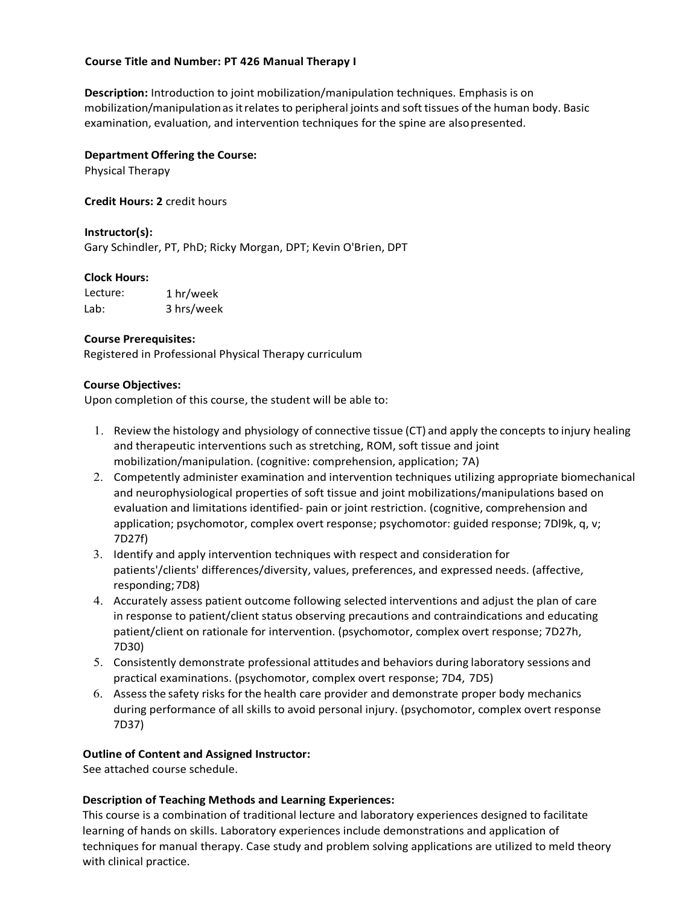#### **Course Title and Number: PT 426 Manual Therapy I**

**Description:** Introduction to joint mobilization/manipulation techniques. Emphasis is on mobilization/manipulation as it relates to peripheral joints and soft tissues of the human body. Basic examination, evaluation, and intervention techniques for the spine are alsopresented.

# **Department Offering the Course:**

Physical Therapy

**Credit Hours: 2** credit hours

**Instructor(s):** Gary Schindler, PT, PhD; Ricky Morgan, DPT; Kevin O'Brien, DPT

# **Clock Hours:**

Lecture:  $l$ ab: 1 hr/week 3 hrs/week

# **Course Prerequisites:**

Registered in Professional Physical Therapy curriculum

# **Course Objectives:**

Upon completion of this course, the student will be able to:

- 1. Review the histology and physiology of connective tissue (CT) and apply the concepts to injury healing and therapeutic interventions such as stretching, ROM, soft tissue and joint mobilization/manipulation. (cognitive: comprehension, application; 7A)
- 2. Competently administer examination and intervention techniques utilizing appropriate biomechanical and neurophysiological properties of soft tissue and joint mobilizations/manipulations based on evaluation and limitations identified- pain or joint restriction. (cognitive, comprehension and application; psychomotor, complex overt response; psychomotor: guided response; 7Dl9k, q, v; 7D27f)
- 3. Identify and apply intervention techniques with respect and consideration for patients'/clients' differences/diversity, values, preferences, and expressed needs. (affective, responding;7D8)
- 4. Accurately assess patient outcome following selected interventions and adjust the plan of care in response to patient/client status observing precautions and contraindications and educating patient/client on rationale for intervention. (psychomotor, complex overt response; 7D27h, 7D30)
- 5. Consistently demonstrate professional attitudes and behaviors during laboratory sessions and practical examinations. (psychomotor, complex overt response; 7D4, 7D5)
- 6. Assessthe safety risks forthe health care provider and demonstrate proper body mechanics during performance of all skills to avoid personal injury. (psychomotor, complex overt response 7D37)

# **Outline of Content and Assigned Instructor:**

See attached course schedule.

# **Description of Teaching Methods and Learning Experiences:**

This course is a combination of traditional lecture and laboratory experiences designed to facilitate learning of hands on skills. Laboratory experiences include demonstrations and application of techniques for manual therapy. Case study and problem solving applications are utilized to meld theory with clinical practice.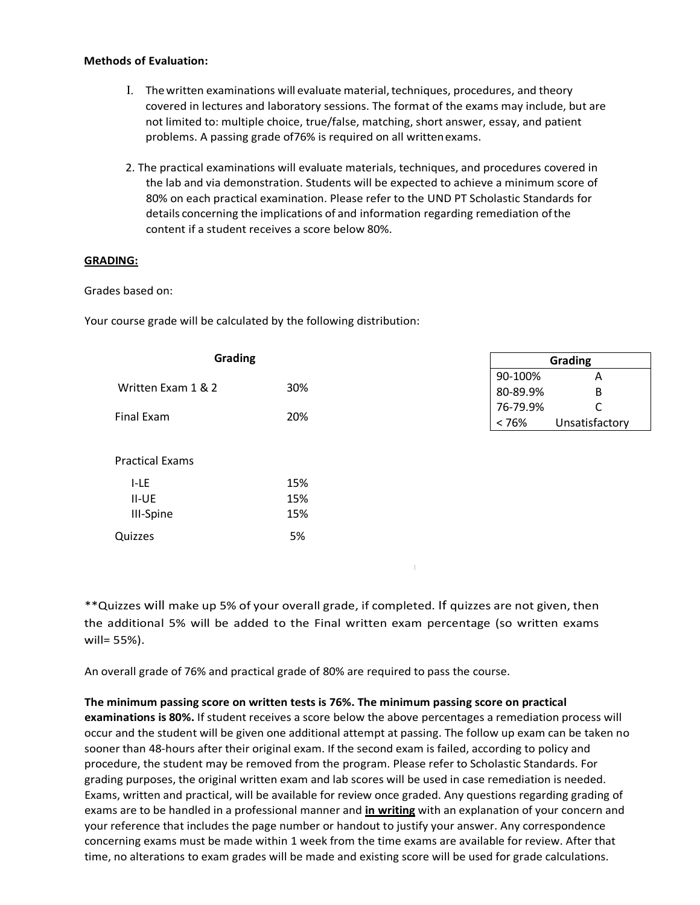#### **Methods of Evaluation:**

- I. Thewritten examinations will evaluate material,techniques, procedures, and theory covered in lectures and laboratory sessions. The format of the exams may include, but are not limited to: multiple choice, true/false, matching, short answer, essay, and patient problems. A passing grade of76% is required on all writtenexams.
- 2. The practical examinations will evaluate materials, techniques, and procedures covered in the lab and via demonstration. Students will be expected to achieve a minimum score of 80% on each practical examination. Please refer to the UND PT Scholastic Standards for details concerning the implications of and information regarding remediation ofthe content if a student receives a score below 80%.

# **GRADING:**

#### Grades based on:

III-Spine

Quizzes 5%

Your course grade will be calculated by the following distribution:

| <b>Grading</b>         |     | Grading                                  |  |  |
|------------------------|-----|------------------------------------------|--|--|
| Written Exam 1 & 2     | 30% | 90-100%<br>A<br>80-89.9%<br>B            |  |  |
| Final Exam             | 20% | 76-79.9%<br>C<br>Unsatisfactory<br>< 76% |  |  |
| <b>Practical Exams</b> |     |                                          |  |  |
| I-LE                   | 15% |                                          |  |  |
| $II-UE$                | 15% |                                          |  |  |

I

\*\*Quizzes will make up 5% of your overall grade, if completed. If quizzes are not given, then the additional 5% will be added to the Final written exam percentage (so written exams will= 55%).

An overall grade of 76% and practical grade of 80% are required to pass the course.

15%

#### **The minimum passing score on written tests is 76%. The minimum passing score on practical**

**examinations is 80%.** If student receives a score below the above percentages a remediation process will occur and the student will be given one additional attempt at passing. The follow up exam can be taken no sooner than 48-hours after their original exam. If the second exam is failed, according to policy and procedure, the student may be removed from the program. Please refer to Scholastic Standards. For grading purposes, the original written exam and lab scores will be used in case remediation is needed. Exams, written and practical, will be available for review once graded. Any questions regarding grading of exams are to be handled in a professional manner and **in writing** with an explanation of your concern and your reference that includes the page number or handout to justify your answer. Any correspondence concerning exams must be made within 1 week from the time exams are available for review. After that time, no alterations to exam grades will be made and existing score will be used for grade calculations.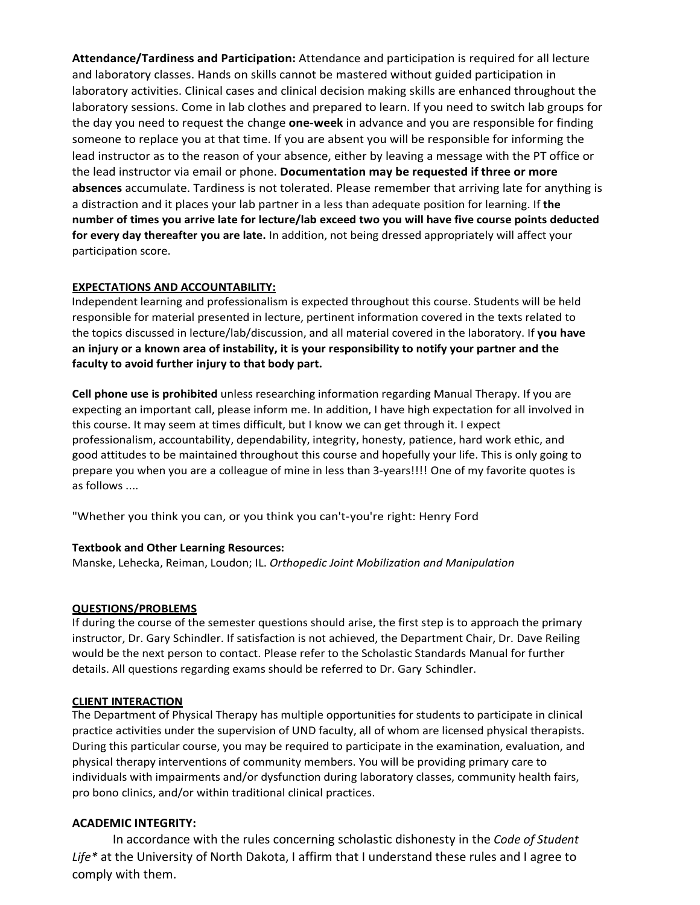**Attendance/Tardiness and Participation:** Attendance and participation is required for all lecture and laboratory classes. Hands on skills cannot be mastered without guided participation in laboratory activities. Clinical cases and clinical decision making skills are enhanced throughout the laboratory sessions. Come in lab clothes and prepared to learn. If you need to switch lab groups for the day you need to request the change **one-week** in advance and you are responsible for finding someone to replace you at that time. If you are absent you will be responsible for informing the lead instructor as to the reason of your absence, either by leaving a message with the PT office or the lead instructor via email or phone. **Documentation may be requested if three or more absences** accumulate. Tardiness is not tolerated. Please remember that arriving late for anything is a distraction and it places your lab partner in a less than adequate position for learning. If **the number of times you arrive late for lecture/lab exceed two you will have five course points deducted for every day thereafter you are late.** In addition, not being dressed appropriately will affect your participation score.

# **EXPECTATIONS AND ACCOUNTABILITY:**

Independent learning and professionalism is expected throughout this course. Students will be held responsible for material presented in lecture, pertinent information covered in the texts related to the topics discussed in lecture/lab/discussion, and all material covered in the laboratory. If **you have an injury or a known area of instability, it is your responsibility to notify your partner and the faculty to avoid further injury to that body part.**

**Cell phone use is prohibited** unless researching information regarding Manual Therapy. If you are expecting an important call, please inform me. In addition, I have high expectation for all involved in this course. It may seem at times difficult, but I know we can get through it. I expect professionalism, accountability, dependability, integrity, honesty, patience, hard work ethic, and good attitudes to be maintained throughout this course and hopefully your life. This is only going to prepare you when you are a colleague of mine in less than 3-years!!!! One of my favorite quotes is as follows ....

"Whether you think you can, or you think you can't-you're right: Henry Ford

#### **Textbook and Other Learning Resources:**

Manske, Lehecka, Reiman, Loudon; IL. *Orthopedic Joint Mobilization and Manipulation*

# **QUESTIONS/PROBLEMS**

If during the course of the semester questions should arise, the first step is to approach the primary instructor, Dr. Gary Schindler. If satisfaction is not achieved, the Department Chair, Dr. Dave Reiling would be the next person to contact. Please refer to the Scholastic Standards Manual for further details. All questions regarding exams should be referred to Dr. Gary Schindler.

# **CLIENT INTERACTION**

The Department of Physical Therapy has multiple opportunities for students to participate in clinical practice activities under the supervision of UND faculty, all of whom are licensed physical therapists. During this particular course, you may be required to participate in the examination, evaluation, and physical therapy interventions of community members. You will be providing primary care to individuals with impairments and/or dysfunction during laboratory classes, community health fairs, pro bono clinics, and/or within traditional clinical practices.

# **ACADEMIC INTEGRITY:**

In accordance with the rules concerning scholastic dishonesty in the *Code of Student Life\** at the University of North Dakota, I affirm that I understand these rules and I agree to comply with them.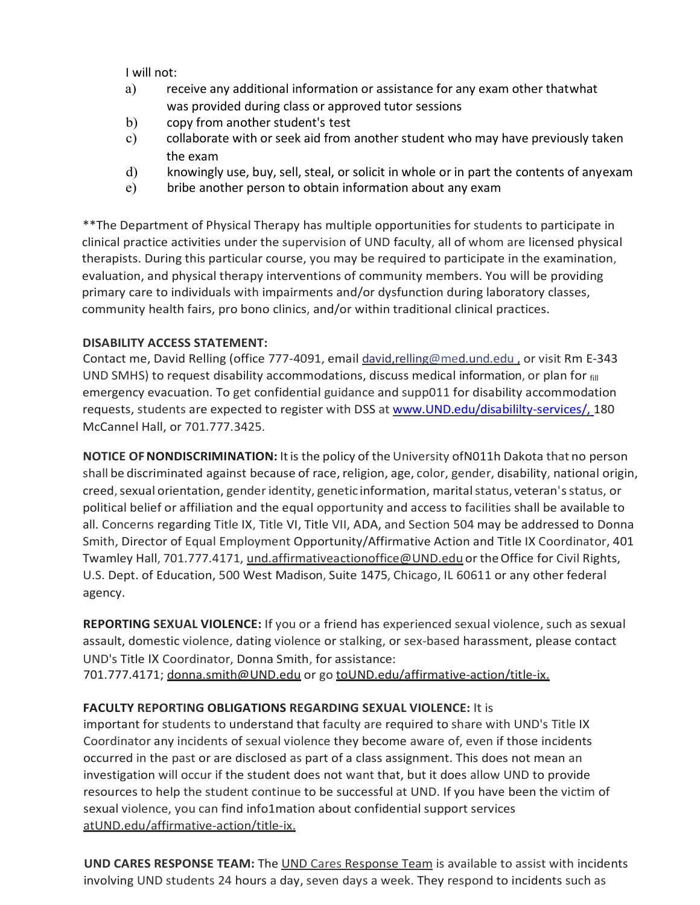I will not:

- a) receive any additional information or assistance for any exam other thatwhat was provided during class or approved tutor sessions
- b) copy from another student's test
- c) collaborate with or seek aid from another student who may have previously taken the exam
- d) knowingly use, buy, sell, steal, or solicit in whole or in part the contents of anyexam
- e) bribe another person to obtain information about any exam

\*\*The Department of Physical Therapy has multiple opportunities for students to participate in clinical practice activities under the supervision of UND faculty, all of whom are licensed physical therapists. During this particular course, you may be required to participate in the examination, evaluation, and physical therapy interventions of community members. You will be providing primary care to individuals with impairments and/or dysfunction during laboratory classes, community health fairs, pro bono clinics, and/or within traditional clinical practices.

# **DISABILITY ACCESS STATEMENT:**

Contact me, David Relling (office 777-4091, emai[l david,relling@med.und.edu ,](mailto:david%2Crelling@med.und.edu) or visit Rm E-343 UND SMHS) to request disability accommodations, discuss medical information, or plan for  $_{\text{fill}}$ emergency evacuation. To get confidential guidance and supp011 for disability accommodation requests, students are expected to register with DSS at [www.UND.edu/disabililty-services/,](http://www.und.edu/disabililty-services/,) 180 McCannel Hall, or 701.777.3425.

**NOTICE OF NONDISCRIMINATION:** It is the policy of the University of N011h Dakota that no person shall be discriminated against because of race, religion, age, color, gender, disability, national origin, creed, sexual orientation, gender identity, genetic information, marital status, veteran's status, or political belief or affiliation and the equal opportunity and access to facilities shall be available to all. Concerns regarding Title IX, Title VI, Title VII, ADA, and Section 504 may be addressed to Donna Smith, Director of Equal Employment Opportunity/Affirmative Action and Title IX Coordinator, 401 Twamley Hall, 701.777.4171, [und.affirmativeactionoffice@UND.edu](mailto:und.affirmativeactionoffice@UND.edu) or the Office for Civil Rights, U.S. Dept. of Education, 500 West Madison, Suite 1475, Chicago, IL 60611 or any other federal agency.

**REPORTING SEXUAL VIOLENCE:** If you or a friend has experienced sexual violence, such as sexual assault, domestic violence, dating violence or stalking, or sex-based harassment, please contact UND's Title IX Coordinator, Donna Smith, for assistance:

701.777.4171; [donna.smith@UND.edu](mailto:donna.smith@UND.edu) or go toUND.edu/affirmative-action/title-ix.

# **FACULTY REPORTING OBLIGATIONS REGARDING SEXUAL VIOLENCE:** It is

important for students to understand that faculty are required to share with UND's Title IX Coordinator any incidents of sexual violence they become aware of, even if those incidents occurred in the past or are disclosed as part of a class assignment. This does not mean an investigation will occur if the student does not want that, but it does allow UND to provide resources to help the student continue to be successful at UND. If you have been the victim of sexual violence, you can find info1mation about confidential support services atUND.edu/affirmative-action/title-ix.

**UND CARES RESPONSE TEAM:** The UND Cares Response Team is available to assist with incidents involving UND students 24 hours a day, seven days a week. They respond to incidents such as